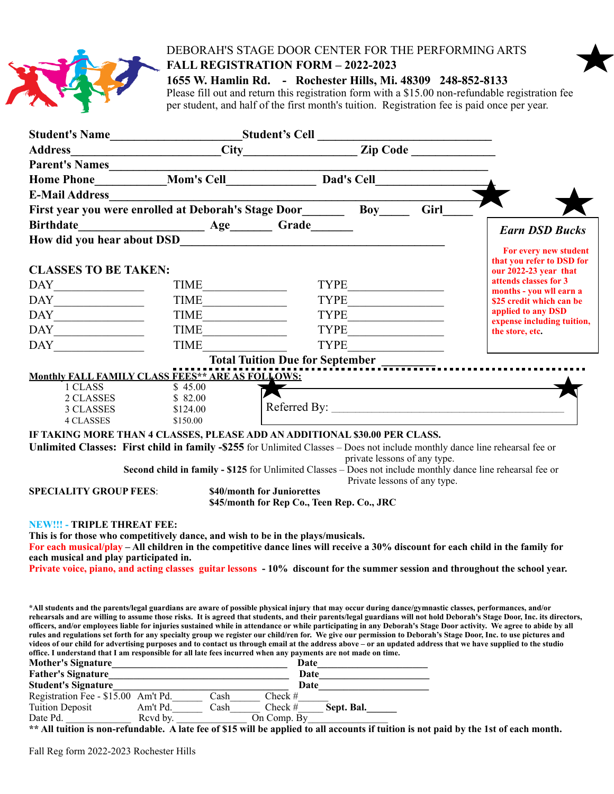

## DEBORAH'S STAGE DOOR CENTER FOR THE PERFORMING ARTS **FALL REGISTRATION FORM – 2022-2023**

**1655 W. Hamlin Rd. - Rochester Hills, Mi. 48309 248-852-8133**

Please fill out and return this registration form with a \$15.00 non-refundable registration fee per student, and half of the first month's tuition. Registration fee is paid once per year.

|                                                                                                                                                                                                                                                                                                                                                                         |                                                                                                                                                                                                                                                                                                                           | Student's Name<br>Madress<br>Madress<br>City<br>City<br>City<br>Zip Code                                                                                                                                                                                                                                                                                                                              |            |                                                              |                                                                                                                                                                         |
|-------------------------------------------------------------------------------------------------------------------------------------------------------------------------------------------------------------------------------------------------------------------------------------------------------------------------------------------------------------------------|---------------------------------------------------------------------------------------------------------------------------------------------------------------------------------------------------------------------------------------------------------------------------------------------------------------------------|-------------------------------------------------------------------------------------------------------------------------------------------------------------------------------------------------------------------------------------------------------------------------------------------------------------------------------------------------------------------------------------------------------|------------|--------------------------------------------------------------|-------------------------------------------------------------------------------------------------------------------------------------------------------------------------|
|                                                                                                                                                                                                                                                                                                                                                                         |                                                                                                                                                                                                                                                                                                                           |                                                                                                                                                                                                                                                                                                                                                                                                       |            |                                                              |                                                                                                                                                                         |
|                                                                                                                                                                                                                                                                                                                                                                         |                                                                                                                                                                                                                                                                                                                           |                                                                                                                                                                                                                                                                                                                                                                                                       |            |                                                              |                                                                                                                                                                         |
|                                                                                                                                                                                                                                                                                                                                                                         |                                                                                                                                                                                                                                                                                                                           |                                                                                                                                                                                                                                                                                                                                                                                                       |            |                                                              |                                                                                                                                                                         |
|                                                                                                                                                                                                                                                                                                                                                                         |                                                                                                                                                                                                                                                                                                                           |                                                                                                                                                                                                                                                                                                                                                                                                       |            |                                                              |                                                                                                                                                                         |
|                                                                                                                                                                                                                                                                                                                                                                         | First year you were enrolled at Deborah's Stage Door__________ Boy________ Girl_                                                                                                                                                                                                                                          |                                                                                                                                                                                                                                                                                                                                                                                                       |            |                                                              |                                                                                                                                                                         |
| <b>Birthdate</b>                                                                                                                                                                                                                                                                                                                                                        | Age Grade                                                                                                                                                                                                                                                                                                                 |                                                                                                                                                                                                                                                                                                                                                                                                       |            |                                                              |                                                                                                                                                                         |
|                                                                                                                                                                                                                                                                                                                                                                         |                                                                                                                                                                                                                                                                                                                           |                                                                                                                                                                                                                                                                                                                                                                                                       |            |                                                              | <b>Earn DSD Bucks</b>                                                                                                                                                   |
|                                                                                                                                                                                                                                                                                                                                                                         |                                                                                                                                                                                                                                                                                                                           |                                                                                                                                                                                                                                                                                                                                                                                                       |            |                                                              | For every new student                                                                                                                                                   |
| <b>CLASSES TO BE TAKEN:</b>                                                                                                                                                                                                                                                                                                                                             |                                                                                                                                                                                                                                                                                                                           |                                                                                                                                                                                                                                                                                                                                                                                                       |            |                                                              | that you refer to DSD for<br>our $2022-23$ year that                                                                                                                    |
|                                                                                                                                                                                                                                                                                                                                                                         |                                                                                                                                                                                                                                                                                                                           |                                                                                                                                                                                                                                                                                                                                                                                                       |            |                                                              | attends classes for 3                                                                                                                                                   |
| $\begin{picture}(180,10) \put(0,0){\dashbox{0.5}(10,0){ }} \put(15,0){\dashbox{0.5}(10,0){ }} \put(15,0){\dashbox{0.5}(10,0){ }} \put(15,0){\dashbox{0.5}(10,0){ }} \put(15,0){\dashbox{0.5}(10,0){ }} \put(15,0){\dashbox{0.5}(10,0){ }} \put(15,0){\dashbox{0.5}(10,0){ }} \put(15,0){\dashbox{0.5}(10,0){ }} \put(15,0){\dashbox{0.5}(10,0){ }} \put(15,0){\dashbox$ | TIME                                                                                                                                                                                                                                                                                                                      |                                                                                                                                                                                                                                                                                                                                                                                                       | TYPE       |                                                              | months - you wll earn a                                                                                                                                                 |
| $\begin{picture}(150,10) \put(0,0){\dashbox{0.5}(10,0){ }} \put(15,0){\dashbox{0.5}(10,0){ }} \put(15,0){\dashbox{0.5}(10,0){ }} \put(15,0){\dashbox{0.5}(10,0){ }} \put(15,0){\dashbox{0.5}(10,0){ }} \put(15,0){\dashbox{0.5}(10,0){ }} \put(15,0){\dashbox{0.5}(10,0){ }} \put(15,0){\dashbox{0.5}(10,0){ }} \put(15,0){\dashbox{0.5}(10,0){ }} \put(15,0){\dashbox$ |                                                                                                                                                                                                                                                                                                                           |                                                                                                                                                                                                                                                                                                                                                                                                       |            |                                                              | \$25 credit which can be<br>applied to any DSD                                                                                                                          |
| $\begin{picture}(150,10) \put(0,0){\dashbox{0.5}(10,0){ }} \put(15,0){\dashbox{0.5}(10,0){ }} \put(15,0){\dashbox{0.5}(10,0){ }} \put(15,0){\dashbox{0.5}(10,0){ }} \put(15,0){\dashbox{0.5}(10,0){ }} \put(15,0){\dashbox{0.5}(10,0){ }} \put(15,0){\dashbox{0.5}(10,0){ }} \put(15,0){\dashbox{0.5}(10,0){ }} \put(15,0){\dashbox{0.5}(10,0){ }} \put(15,0){\dashbox$ | $\boxed{\text{TIME}\_\_\_\_\_\_\_}$                                                                                                                                                                                                                                                                                       |                                                                                                                                                                                                                                                                                                                                                                                                       |            |                                                              | expense including tuition,                                                                                                                                              |
| $\begin{tabular}{ c c } \hline \multicolumn{3}{ c }{\text{DAY}} \end{tabular}$                                                                                                                                                                                                                                                                                          | TIME                                                                                                                                                                                                                                                                                                                      |                                                                                                                                                                                                                                                                                                                                                                                                       |            |                                                              | the store, etc.                                                                                                                                                         |
| $\begin{tabular}{ c c } \hline \text{DAY} \end{tabular}$                                                                                                                                                                                                                                                                                                                | <b>TIME</b>                                                                                                                                                                                                                                                                                                               | <b>TYPE</b>                                                                                                                                                                                                                                                                                                                                                                                           |            |                                                              |                                                                                                                                                                         |
|                                                                                                                                                                                                                                                                                                                                                                         |                                                                                                                                                                                                                                                                                                                           |                                                                                                                                                                                                                                                                                                                                                                                                       |            |                                                              |                                                                                                                                                                         |
|                                                                                                                                                                                                                                                                                                                                                                         | <b>Monthly FALL FAMILY CLASS FEES** ARE AS FOLLOWS:</b>                                                                                                                                                                                                                                                                   |                                                                                                                                                                                                                                                                                                                                                                                                       |            |                                                              |                                                                                                                                                                         |
| 1 CLASS                                                                                                                                                                                                                                                                                                                                                                 | \$45.00                                                                                                                                                                                                                                                                                                                   | $\overline{\mathbf{X}}$ and $\overline{\mathbf{X}}$ and $\overline{\mathbf{X}}$ and $\overline{\mathbf{X}}$ and $\overline{\mathbf{X}}$ and $\overline{\mathbf{X}}$ and $\overline{\mathbf{X}}$ and $\overline{\mathbf{X}}$ and $\overline{\mathbf{X}}$ and $\overline{\mathbf{X}}$ and $\overline{\mathbf{X}}$ and $\overline{\mathbf{X}}$ and $\overline{\mathbf{X}}$ and $\overline{\mathbf{X}}$ a |            |                                                              |                                                                                                                                                                         |
| 2 CLASSES                                                                                                                                                                                                                                                                                                                                                               | \$82.00                                                                                                                                                                                                                                                                                                                   |                                                                                                                                                                                                                                                                                                                                                                                                       |            |                                                              |                                                                                                                                                                         |
| 3 CLASSES                                                                                                                                                                                                                                                                                                                                                               | \$124.00                                                                                                                                                                                                                                                                                                                  |                                                                                                                                                                                                                                                                                                                                                                                                       |            |                                                              |                                                                                                                                                                         |
| <b>4 CLASSES</b>                                                                                                                                                                                                                                                                                                                                                        | \$150.00                                                                                                                                                                                                                                                                                                                  |                                                                                                                                                                                                                                                                                                                                                                                                       |            |                                                              |                                                                                                                                                                         |
|                                                                                                                                                                                                                                                                                                                                                                         | IF TAKING MORE THAN 4 CLASSES, PLEASE ADD AN ADDITIONAL \$30.00 PER CLASS.<br>Unlimited Classes: First child in family -\$255 for Unlimited Classes – Does not include monthly dance line rehearsal fee or<br>Second child in family - \$125 for Unlimited Classes – Does not include monthly dance line rehearsal fee or |                                                                                                                                                                                                                                                                                                                                                                                                       |            | private lessons of any type.<br>Private lessons of any type. |                                                                                                                                                                         |
| <b>SPECIALITY GROUP FEES:</b>                                                                                                                                                                                                                                                                                                                                           |                                                                                                                                                                                                                                                                                                                           | \$40/month for Juniorettes                                                                                                                                                                                                                                                                                                                                                                            |            |                                                              |                                                                                                                                                                         |
|                                                                                                                                                                                                                                                                                                                                                                         |                                                                                                                                                                                                                                                                                                                           | \$45/month for Rep Co., Teen Rep. Co., JRC                                                                                                                                                                                                                                                                                                                                                            |            |                                                              |                                                                                                                                                                         |
|                                                                                                                                                                                                                                                                                                                                                                         |                                                                                                                                                                                                                                                                                                                           |                                                                                                                                                                                                                                                                                                                                                                                                       |            |                                                              |                                                                                                                                                                         |
| <b>NEW!!! - TRIPLE THREAT FEE:</b>                                                                                                                                                                                                                                                                                                                                      | This is for those who competitively dance, and wish to be in the plays/musicals.                                                                                                                                                                                                                                          |                                                                                                                                                                                                                                                                                                                                                                                                       |            |                                                              |                                                                                                                                                                         |
|                                                                                                                                                                                                                                                                                                                                                                         | For each musical/play – All children in the competitive dance lines will receive a 30% discount for each child in the family for                                                                                                                                                                                          |                                                                                                                                                                                                                                                                                                                                                                                                       |            |                                                              |                                                                                                                                                                         |
| each musical and play participated in.                                                                                                                                                                                                                                                                                                                                  |                                                                                                                                                                                                                                                                                                                           |                                                                                                                                                                                                                                                                                                                                                                                                       |            |                                                              |                                                                                                                                                                         |
|                                                                                                                                                                                                                                                                                                                                                                         | Private voice, piano, and acting classes guitar lessons - 10% discount for the summer session and throughout the school year.                                                                                                                                                                                             |                                                                                                                                                                                                                                                                                                                                                                                                       |            |                                                              |                                                                                                                                                                         |
|                                                                                                                                                                                                                                                                                                                                                                         |                                                                                                                                                                                                                                                                                                                           |                                                                                                                                                                                                                                                                                                                                                                                                       |            |                                                              |                                                                                                                                                                         |
|                                                                                                                                                                                                                                                                                                                                                                         |                                                                                                                                                                                                                                                                                                                           |                                                                                                                                                                                                                                                                                                                                                                                                       |            |                                                              |                                                                                                                                                                         |
|                                                                                                                                                                                                                                                                                                                                                                         | *All students and the parents/legal guardians are aware of possible physical injury that may occur during dance/gymnastic classes, performances, and/or                                                                                                                                                                   |                                                                                                                                                                                                                                                                                                                                                                                                       |            |                                                              | rehearsals and are willing to assume those risks. It is agreed that students, and their parents/legal guardians will not hold Deborah's Stage Door, Inc. its directors, |
|                                                                                                                                                                                                                                                                                                                                                                         | officers, and/or employees liable for injuries sustained while in attendance or while participating in any Deborah's Stage Door activity. We agree to abide by all                                                                                                                                                        |                                                                                                                                                                                                                                                                                                                                                                                                       |            |                                                              |                                                                                                                                                                         |
|                                                                                                                                                                                                                                                                                                                                                                         | rules and regulations set forth for any specialty group we register our child/ren for. We give our permission to Deborah's Stage Door, Inc. to use pictures and                                                                                                                                                           |                                                                                                                                                                                                                                                                                                                                                                                                       |            |                                                              |                                                                                                                                                                         |
|                                                                                                                                                                                                                                                                                                                                                                         | videos of our child for advertising purposes and to contact us through email at the address above – or an updated address that we have supplied to the studio<br>office. I understand that I am responsible for all late fees incurred when any payments are not made on time.                                            |                                                                                                                                                                                                                                                                                                                                                                                                       |            |                                                              |                                                                                                                                                                         |
| <b>Mother's Signature</b>                                                                                                                                                                                                                                                                                                                                               |                                                                                                                                                                                                                                                                                                                           | Date                                                                                                                                                                                                                                                                                                                                                                                                  |            |                                                              |                                                                                                                                                                         |
| <b>Father's Signature</b>                                                                                                                                                                                                                                                                                                                                               |                                                                                                                                                                                                                                                                                                                           | Date                                                                                                                                                                                                                                                                                                                                                                                                  |            |                                                              |                                                                                                                                                                         |
| <b>Student's Signature</b>                                                                                                                                                                                                                                                                                                                                              |                                                                                                                                                                                                                                                                                                                           | Date_                                                                                                                                                                                                                                                                                                                                                                                                 |            |                                                              |                                                                                                                                                                         |
| Registration Fee - \$15.00 Am't Pd.                                                                                                                                                                                                                                                                                                                                     | Cash                                                                                                                                                                                                                                                                                                                      | Check #                                                                                                                                                                                                                                                                                                                                                                                               |            |                                                              |                                                                                                                                                                         |
| <b>Tuition Deposit</b>                                                                                                                                                                                                                                                                                                                                                  | Am't Pd.<br>Cash                                                                                                                                                                                                                                                                                                          | Check #                                                                                                                                                                                                                                                                                                                                                                                               | Sept. Bal. |                                                              |                                                                                                                                                                         |
| Date Pd.                                                                                                                                                                                                                                                                                                                                                                | Revd by.                                                                                                                                                                                                                                                                                                                  | On Comp. By                                                                                                                                                                                                                                                                                                                                                                                           |            |                                                              |                                                                                                                                                                         |

**\*\* All tuition is non-refundable. A late fee of \$15 will be applied to all accounts if tuition is not paid by the 1st of each month.**

Fall Reg form 2022-2023 Rochester Hills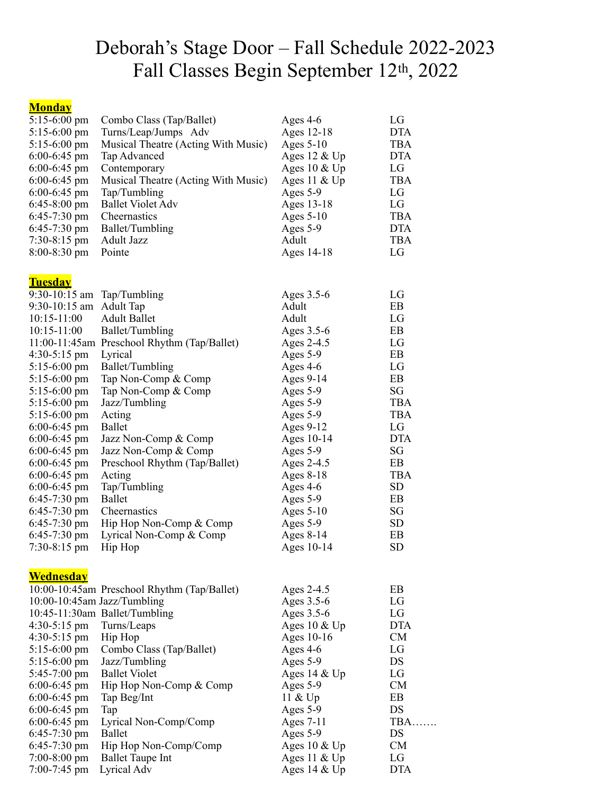# Deborah's Stage Door – Fall Schedule 2022-2023 Fall Classes Begin September 12th, 2022

## **Monday**

| $5:15-6:00$ pm               | Combo Class (Tap/Ballet)                    | Ages $4-6$      | LG         |
|------------------------------|---------------------------------------------|-----------------|------------|
| $5:15-6:00$ pm               | Turns/Leap/Jumps Adv                        | Ages 12-18      | <b>DTA</b> |
| $5:15-6:00$ pm               | Musical Theatre (Acting With Music)         | Ages $5-10$     | <b>TBA</b> |
| $6:00-6:45$ pm               | Tap Advanced                                | Ages $12 \& Up$ | <b>DTA</b> |
| $6:00-6:45$ pm               | Contemporary                                | Ages $10 \& Up$ | LG         |
| $6:00-6:45$ pm               | Musical Theatre (Acting With Music)         | Ages 11 $&$ Up  | <b>TBA</b> |
| $6:00-6:45$ pm               | Tap/Tumbling                                | Ages 5-9        | LG         |
| $6:45-8:00 \text{ pm}$       | <b>Ballet Violet Adv</b>                    | Ages 13-18      | LG         |
| $6:45-7:30$ pm               | Cheernastics                                | Ages $5-10$     | <b>TBA</b> |
| $6:45-7:30$ pm               | Ballet/Tumbling                             | Ages 5-9        | <b>DTA</b> |
| $7:30-8:15 \text{ pm}$       | Adult Jazz                                  | Adult           | <b>TBA</b> |
| $8:00 - 8:30$ pm             | Pointe                                      | Ages 14-18      | LG         |
|                              |                                             |                 |            |
|                              |                                             |                 |            |
| <b>Tuesday</b>               |                                             |                 |            |
| $9:30-10:15$ am Tap/Tumbling |                                             | Ages 3.5-6      | LG         |
| $9:30-10:15$ am              | <b>Adult Tap</b>                            | Adult           | EB         |
| $10:15 - 11:00$              | <b>Adult Ballet</b>                         | Adult           | LG         |
| $10:15 - 11:00$              | Ballet/Tumbling                             | Ages 3.5-6      | EB         |
|                              | 11:00-11:45am Preschool Rhythm (Tap/Ballet) | Ages 2-4.5      | LG         |
| $4:30-5:15$ pm               | Lyrical                                     | Ages 5-9        | EB         |
| $5:15-6:00$ pm               | Ballet/Tumbling                             | Ages 4-6        | LG         |
| $5:15-6:00$ pm               | Tap Non-Comp & Comp                         | Ages 9-14       | EB         |
| $5:15-6:00 \text{ pm}$       | Tap Non-Comp & Comp                         | Ages 5-9        | SG         |
| $5:15-6:00$ pm               | Jazz/Tumbling                               | Ages 5-9        | <b>TBA</b> |
| $5:15-6:00$ pm               | Acting                                      | Ages 5-9        | <b>TBA</b> |
| $6:00-6:45$ pm               | <b>Ballet</b>                               | Ages 9-12       | LG         |
| $6:00-6:45$ pm               | Jazz Non-Comp & Comp                        | Ages 10-14      | <b>DTA</b> |
| $6:00-6:45$ pm               | Jazz Non-Comp & Comp                        | Ages 5-9        | SG         |
| $6:00-6:45$ pm               | Preschool Rhythm (Tap/Ballet)               | Ages 2-4.5      | EB         |
| $6:00-6:45$ pm               | Acting                                      | Ages $8-18$     | <b>TBA</b> |
| $6:00-6:45$ pm               | Tap/Tumbling                                | Ages $4-6$      | <b>SD</b>  |
| $6:45-7:30$ pm               | <b>Ballet</b>                               | Ages 5-9        | EB         |
| $6:45-7:30$ pm               | Cheernastics                                | Ages $5-10$     | SG         |
| $6:45-7:30$ pm               | Hip Hop Non-Comp & Comp                     | Ages 5-9        | <b>SD</b>  |
| 6:45-7:30 pm                 | Lyrical Non-Comp & Comp                     | Ages $8-14$     | EB         |
| $7:30-8:15$ pm               | Hip Hop                                     | Ages 10-14      | <b>SD</b>  |
|                              |                                             |                 |            |
| <b>Wednesday</b>             |                                             |                 |            |
|                              | 10:00-10:45am Preschool Rhythm (Tap/Ballet) | Ages 2-4.5      | EB         |
| 10:00-10:45am Jazz/Tumbling  |                                             | Ages 3.5-6      | LG         |
|                              | 10:45-11:30am Ballet/Tumbling               | Ages 3.5-6      | LG         |
| $4:30-5:15 \text{ pm}$       | Turns/Leaps                                 | Ages $10 \& Up$ | <b>DTA</b> |
| $4:30-5:15$ pm               | Hip Hop                                     | Ages 10-16      | <b>CM</b>  |
| 5:15-6:00 pm                 | Combo Class (Tap/Ballet)                    | Ages $4-6$      | LG         |
| 5:15-6:00 pm                 | Jazz/Tumbling                               | Ages 5-9        | DS         |
| $5:45-7:00$ pm               | <b>Ballet Violet</b>                        | Ages $14 \& Up$ | LG         |
|                              |                                             |                 |            |
| $6:00-6:45$ pm               | Hip Hop Non-Comp & Comp                     | Ages 5-9        | <b>CM</b>  |
| $6:00-6:45$ pm               | Tap Beg/Int                                 | 11 $&$ Up       | EB         |
| $6:00-6:45$ pm               | Tap                                         | Ages 5-9        | DS         |
| $6:00-6:45$ pm               | Lyrical Non-Comp/Comp                       | Ages 7-11       | TBA        |
| $6:45-7:30$ pm               | <b>Ballet</b>                               | Ages 5-9        | DS         |
| $6:45-7:30 \text{ pm}$       | Hip Hop Non-Comp/Comp                       | Ages $10 \& Up$ | <b>CM</b>  |
| $7:00-8:00$ pm               | <b>Ballet Taupe Int</b>                     | Ages 11 & Up    | LG         |
| $7:00-7:45$ pm               | Lyrical Adv                                 | Ages $14 \& Up$ | <b>DTA</b> |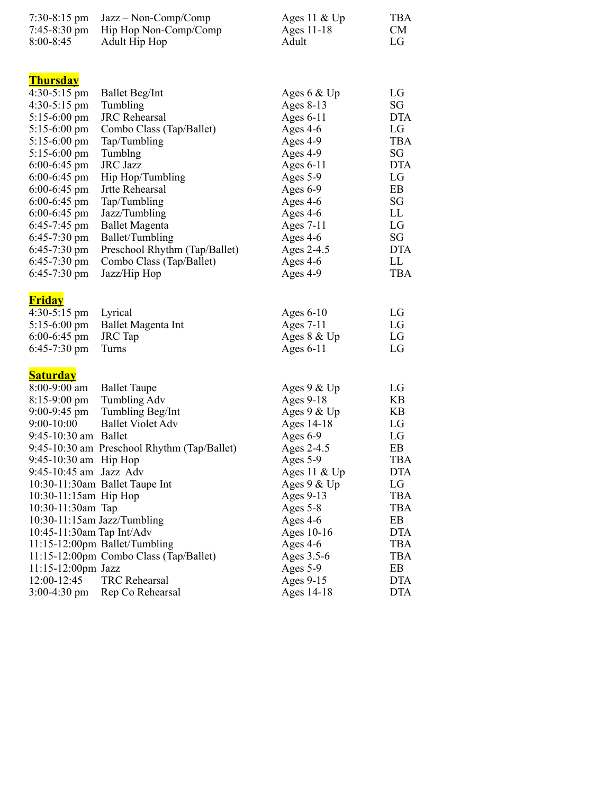| 7:30-8:15 pm<br>7:45-8:30 pm<br>$8:00 - 8:45$                                                                                                                                                                                                                                                                                                         | $Jazz - Non-Comp/Comp$<br>Hip Hop Non-Comp/Comp<br><b>Adult Hip Hop</b>                                                                                                                                                                                                                                                              | Ages 11 $&$ Up<br>Ages 11-18<br>Adult                                                                                                                                                                                                                | <b>TBA</b><br><b>CM</b><br>LG                                                                                                        |
|-------------------------------------------------------------------------------------------------------------------------------------------------------------------------------------------------------------------------------------------------------------------------------------------------------------------------------------------------------|--------------------------------------------------------------------------------------------------------------------------------------------------------------------------------------------------------------------------------------------------------------------------------------------------------------------------------------|------------------------------------------------------------------------------------------------------------------------------------------------------------------------------------------------------------------------------------------------------|--------------------------------------------------------------------------------------------------------------------------------------|
| <b>Thursday</b><br>$4:30-5:15$ pm<br>$4:30-5:15$ pm<br>$5:15-6:00 \text{ pm}$<br>$5:15-6:00$ pm<br>$5:15-6:00 \text{ pm}$<br>$5:15-6:00$ pm<br>$6:00-6:45$ pm<br>$6:00-6:45$ pm<br>$6:00-6:45$ pm<br>$6:00-6:45$ pm<br>$6:00-6:45$ pm<br>$6:45-7:45$ pm<br>$6:45-7:30$ pm<br>$6:45-7:30$ pm<br>$6:45-7:30$ pm<br>$6:45-7:30$ pm                       | <b>Ballet Beg/Int</b><br>Tumbling<br><b>JRC</b> Rehearsal<br>Combo Class (Tap/Ballet)<br>Tap/Tumbling<br>Tumblng<br><b>JRC</b> Jazz<br>Hip Hop/Tumbling<br>Jrtte Rehearsal<br>Tap/Tumbling<br>Jazz/Tumbling<br><b>Ballet Magenta</b><br>Ballet/Tumbling<br>Preschool Rhythm (Tap/Ballet)<br>Combo Class (Tap/Ballet)<br>Jazz/Hip Hop | Ages 6 & Up<br>Ages 8-13<br>Ages $6-11$<br>Ages $4-6$<br>Ages 4-9<br>Ages 4-9<br>Ages $6-11$<br>Ages 5-9<br>Ages 6-9<br>Ages $4-6$<br>Ages $4-6$<br>Ages 7-11<br>Ages 4-6<br>Ages 2-4.5<br>Ages 4-6<br>Ages 4-9                                      | LG<br>SG<br><b>DTA</b><br>LG<br><b>TBA</b><br>SG<br><b>DTA</b><br>LG<br>EB<br>SG<br>LL<br>LG<br>SG<br><b>DTA</b><br>LL<br><b>TBA</b> |
| <u>Friday</u><br>$4:30-5:15$ pm<br>$5:15-6:00 \text{ pm}$<br>$6:00-6:45$ pm<br>$6:45-7:30 \text{ pm}$                                                                                                                                                                                                                                                 | Lyrical<br>Ballet Magenta Int<br><b>JRC</b> Tap<br>Turns                                                                                                                                                                                                                                                                             | Ages $6-10$<br>Ages 7-11<br>Ages 8 & Up<br>Ages $6-11$                                                                                                                                                                                               | LG<br>LG<br>LG<br>LG                                                                                                                 |
| <u>Saturday</u><br>8:00-9:00 am<br>$8:15-9:00 \text{ pm}$<br>$9:00 - 9:45$ pm<br>$9:00 - 10:00$<br>9:45-10:30 am Ballet<br>9:45-10:30 am $\;$ Hip Hop<br>9:45-10:45 am Jazz Adv<br>10:30-11:15am Hip Hop<br>10:30-11:30am Tap<br>10:30-11:15am Jazz/Tumbling<br>10:45-11:30am Tap Int/Adv<br>$11:15 - 12:00$ pm Jazz<br>12:00-12:45<br>$3:00-4:30$ pm | <b>Ballet Taupe</b><br><b>Tumbling Adv</b><br>Tumbling Beg/Int<br><b>Ballet Violet Adv</b><br>9:45-10:30 am Preschool Rhythm (Tap/Ballet)<br>10:30-11:30am Ballet Taupe Int<br>11:15-12:00pm Ballet/Tumbling<br>11:15-12:00pm Combo Class (Tap/Ballet)<br><b>TRC</b> Rehearsal<br>Rep Co Rehearsal                                   | Ages $9 &$ Up<br>Ages 9-18<br>Ages 9 & Up<br>Ages 14-18<br>Ages 6-9<br>Ages 2-4.5<br>Ages 5-9<br>Ages 11 $&$ Up<br>Ages 9 & Up<br>Ages 9-13<br>Ages 5-8<br>Ages 4-6<br>Ages 10-16<br>Ages $4-6$<br>Ages 3.5-6<br>Ages 5-9<br>Ages 9-15<br>Ages 14-18 | LG<br>KB<br>KB<br>LG<br>LG<br>EB<br>TBA<br>DTA<br>LG<br>TBA<br><b>TBA</b><br>EB<br>DTA<br>TBA<br>TBA<br>EB<br><b>DTA</b><br>DTA      |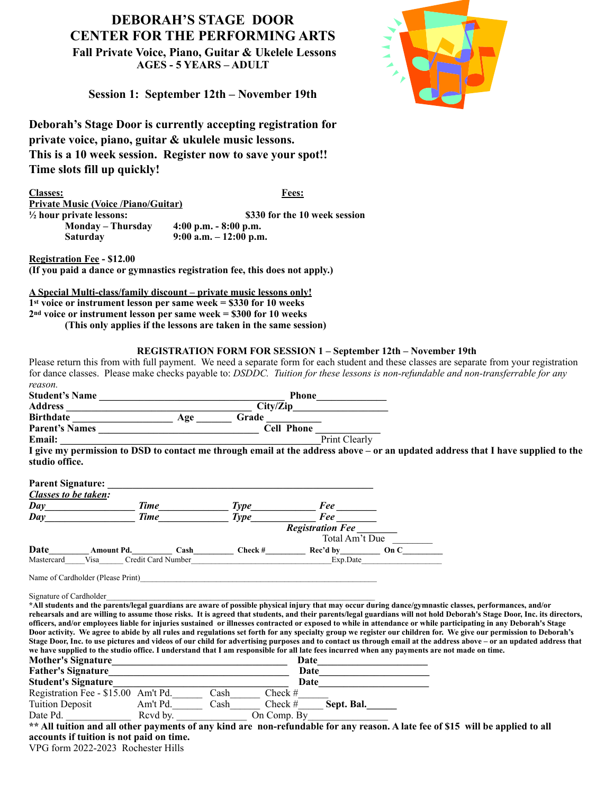## **DEBORAH'S STAGE DOOR CENTER FOR THE PERFORMING ARTS**

 **Fall Private Voice, Piano, Guitar & Ukelele Lessons AGES - 5 YEARS – ADULT**



**Session 1: September 12th – November 19th**

**Deborah's Stage Door is currently accepting registration for private voice, piano, guitar & ukulele music lessons. This is a 10 week session. Register now to save your spot!! Time slots fill up quickly!**

**Classes: Fees: Private Music (Voice /Piano/Guitar) ½ hour private lessons: \$330 for the 10 week session Monday – Thursday 4:00 p.m. - 8:00 p.m. Saturday 9:00 a.m. – 12:00 p.m.**

**Registration Fee - \$12.00**

**(If you paid a dance or gymnastics registration fee, this does not apply.)**

**A Special Multi-class/family discount – private music lessons only! 1st voice or instrument lesson per same week = \$330 for 10 weeks 2nd voice or instrument lesson per same week = \$300 for 10 weeks (This only applies if the lessons are taken in the same session)**

## **REGISTRATION FORM FOR SESSION 1 – September 12th – November 19th**

Please return this from with full payment. We need a separate form for each student and these classes are separate from your registration for dance classes. Please make checks payable to: *DSDDC. Tuition for these lessons is non-refundable and non-transferrable for any reason.*

| reuson.                                                                                                                                                                                                                            |                                                                     |                                                                                                                                                                                                                                     |           |                             |                |                                                                                                                                                                                                                                                                                                                                       |  |
|------------------------------------------------------------------------------------------------------------------------------------------------------------------------------------------------------------------------------------|---------------------------------------------------------------------|-------------------------------------------------------------------------------------------------------------------------------------------------------------------------------------------------------------------------------------|-----------|-----------------------------|----------------|---------------------------------------------------------------------------------------------------------------------------------------------------------------------------------------------------------------------------------------------------------------------------------------------------------------------------------------|--|
| Student's Name                                                                                                                                                                                                                     |                                                                     |                                                                                                                                                                                                                                     |           |                             |                |                                                                                                                                                                                                                                                                                                                                       |  |
|                                                                                                                                                                                                                                    |                                                                     |                                                                                                                                                                                                                                     |           |                             |                |                                                                                                                                                                                                                                                                                                                                       |  |
|                                                                                                                                                                                                                                    |                                                                     |                                                                                                                                                                                                                                     | Grade     |                             |                |                                                                                                                                                                                                                                                                                                                                       |  |
|                                                                                                                                                                                                                                    |                                                                     |                                                                                                                                                                                                                                     |           |                             |                |                                                                                                                                                                                                                                                                                                                                       |  |
| Email: $\frac{1}{2}$                                                                                                                                                                                                               |                                                                     |                                                                                                                                                                                                                                     |           | Print Clearly               |                |                                                                                                                                                                                                                                                                                                                                       |  |
| studio office.                                                                                                                                                                                                                     |                                                                     |                                                                                                                                                                                                                                     |           |                             |                | I give my permission to DSD to contact me through email at the address above - or an updated address that I have supplied to the                                                                                                                                                                                                      |  |
| <b>Parent Signature:</b>                                                                                                                                                                                                           | <u> 1989 - Johann Stein, mars an deus Amerikaansk kommunister (</u> |                                                                                                                                                                                                                                     |           |                             |                |                                                                                                                                                                                                                                                                                                                                       |  |
| <b>Classes to be taken:</b>                                                                                                                                                                                                        |                                                                     |                                                                                                                                                                                                                                     |           |                             |                |                                                                                                                                                                                                                                                                                                                                       |  |
|                                                                                                                                                                                                                                    |                                                                     |                                                                                                                                                                                                                                     |           |                             |                |                                                                                                                                                                                                                                                                                                                                       |  |
| Day                                                                                                                                                                                                                                |                                                                     |                                                                                                                                                                                                                                     |           |                             |                |                                                                                                                                                                                                                                                                                                                                       |  |
|                                                                                                                                                                                                                                    |                                                                     |                                                                                                                                                                                                                                     |           |                             |                |                                                                                                                                                                                                                                                                                                                                       |  |
|                                                                                                                                                                                                                                    |                                                                     |                                                                                                                                                                                                                                     |           |                             | Total Am't Due |                                                                                                                                                                                                                                                                                                                                       |  |
| Date Amount Pd. Cash Check # Mastercard Visa Credit Card Number<br>Mastercard Visa Credit Card Number<br>Check # Concert Check # Cash Check # Cash Check # Cash Check # Cash Check # Cash Check # Cash Check # Cash Check # Cash C |                                                                     |                                                                                                                                                                                                                                     |           |                             |                |                                                                                                                                                                                                                                                                                                                                       |  |
|                                                                                                                                                                                                                                    |                                                                     |                                                                                                                                                                                                                                     |           |                             |                |                                                                                                                                                                                                                                                                                                                                       |  |
| Name of Cardholder (Please Print)                                                                                                                                                                                                  |                                                                     |                                                                                                                                                                                                                                     |           |                             |                |                                                                                                                                                                                                                                                                                                                                       |  |
| Signature of Cardholder                                                                                                                                                                                                            |                                                                     |                                                                                                                                                                                                                                     |           |                             |                |                                                                                                                                                                                                                                                                                                                                       |  |
|                                                                                                                                                                                                                                    |                                                                     |                                                                                                                                                                                                                                     |           |                             |                | *All students and the parents/legal guardians are aware of possible physical injury that may occur during dance/gymnastic classes, performances, and/or                                                                                                                                                                               |  |
|                                                                                                                                                                                                                                    |                                                                     |                                                                                                                                                                                                                                     |           |                             |                | rehearsals and are willing to assume those risks. It is agreed that students, and their parents/legal guardians will not hold Deborah's Stage Door, Inc. its directors,                                                                                                                                                               |  |
|                                                                                                                                                                                                                                    |                                                                     |                                                                                                                                                                                                                                     |           |                             |                | officers, and/or employees liable for injuries sustained or illnesses contracted or exposed to while in attendance or while participating in any Deborah's Stage<br>Door activity. We agree to abide by all rules and regulations set forth for any specialty group we register our children for. We give our permission to Deborah's |  |
|                                                                                                                                                                                                                                    |                                                                     |                                                                                                                                                                                                                                     |           |                             |                | Stage Door, Inc. to use pictures and videos of our child for advertising purposes and to contact us through email at the address above - or an updated address that                                                                                                                                                                   |  |
| we have supplied to the studio office. I understand that I am responsible for all late fees incurred when any payments are not made on time.                                                                                       |                                                                     |                                                                                                                                                                                                                                     |           |                             |                |                                                                                                                                                                                                                                                                                                                                       |  |
|                                                                                                                                                                                                                                    |                                                                     |                                                                                                                                                                                                                                     |           |                             |                |                                                                                                                                                                                                                                                                                                                                       |  |
|                                                                                                                                                                                                                                    |                                                                     |                                                                                                                                                                                                                                     |           |                             |                |                                                                                                                                                                                                                                                                                                                                       |  |
| <b>Student's Signature</b> experience of the state of the state of the state of the state of the state of the state of the state of the state of the state of the state of the state of the state of the state of the state of the |                                                                     |                                                                                                                                                                                                                                     |           | Date <u>_______________</u> |                |                                                                                                                                                                                                                                                                                                                                       |  |
| Registration Fee - \$15.00 Am't Pd. Cash                                                                                                                                                                                           |                                                                     |                                                                                                                                                                                                                                     | Check $#$ |                             |                |                                                                                                                                                                                                                                                                                                                                       |  |
|                                                                                                                                                                                                                                    |                                                                     |                                                                                                                                                                                                                                     |           | Check $\#$ Sept. Bal.       |                |                                                                                                                                                                                                                                                                                                                                       |  |
|                                                                                                                                                                                                                                    |                                                                     | <u>and</u> and the second second second second second second second second second second second second second second second second second second second second second second second second second second second second second secon |           |                             |                |                                                                                                                                                                                                                                                                                                                                       |  |
|                                                                                                                                                                                                                                    |                                                                     |                                                                                                                                                                                                                                     |           |                             |                | <b>Example 1 a.</b> The Barry Control by the Compton of The Compton of the Compton of the Compton of the Superior of Allen Compton of the Allen Compton of the Allen Compton of the Allen Compton of the Allen Compton of the Allen                                                                                                   |  |
| accounts if tuition is not paid on time.                                                                                                                                                                                           |                                                                     |                                                                                                                                                                                                                                     |           |                             |                |                                                                                                                                                                                                                                                                                                                                       |  |

VPG form 2022-2023 Rochester Hills